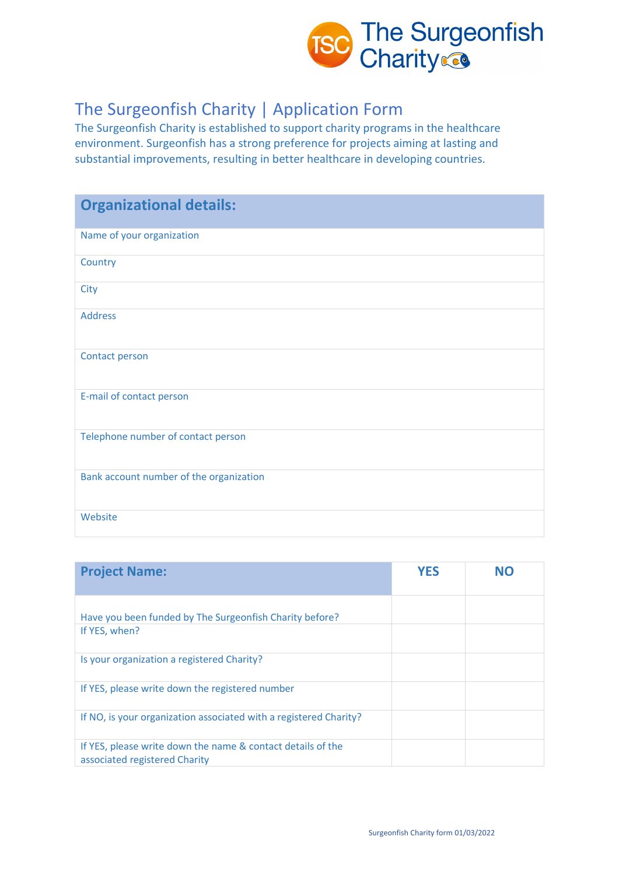

## The Surgeonfish Charity | Application Form

The Surgeonfish Charity is established to support charity programs in the healthcare environment. Surgeonfish has a strong preference for projects aiming at lasting and substantial improvements, resulting in better healthcare in developing countries.

| <b>Organizational details:</b>          |
|-----------------------------------------|
| Name of your organization               |
| Country                                 |
| City                                    |
| <b>Address</b>                          |
| Contact person                          |
| E-mail of contact person                |
| Telephone number of contact person      |
| Bank account number of the organization |
| Website                                 |

| <b>Project Name:</b>                                                                         | <b>YES</b> | NO |
|----------------------------------------------------------------------------------------------|------------|----|
| Have you been funded by The Surgeonfish Charity before?<br>If YES, when?                     |            |    |
| Is your organization a registered Charity?                                                   |            |    |
| If YES, please write down the registered number                                              |            |    |
| If NO, is your organization associated with a registered Charity?                            |            |    |
| If YES, please write down the name & contact details of the<br>associated registered Charity |            |    |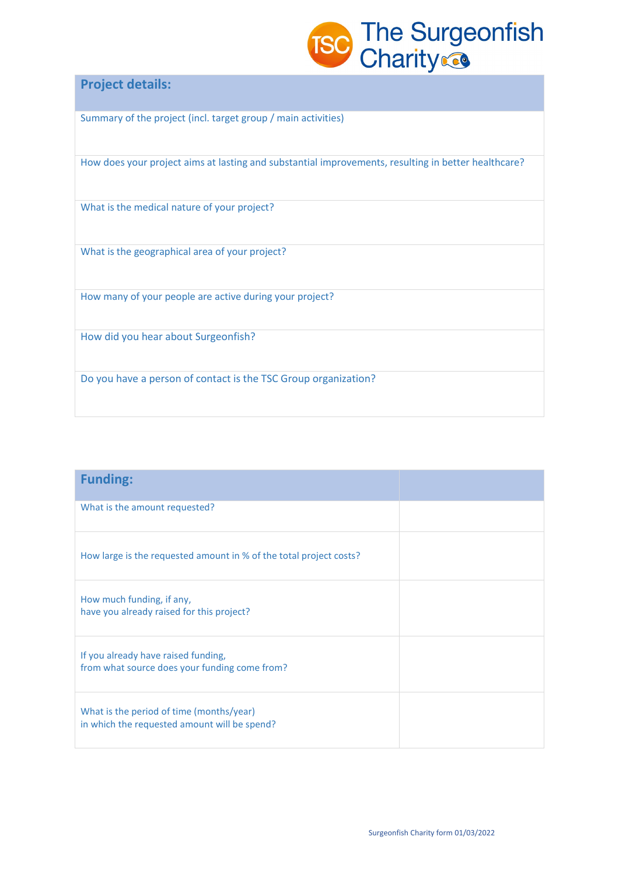

## **Project details:**

Summary of the project (incl. target group / main activities)

How does your project aims at lasting and substantial improvements, resulting in better healthcare?

What is the medical nature of your project?

What is the geographical area of your project?

How many of your people are active during your project?

How did you hear about Surgeonfish?

Do you have a person of contact is the TSC Group organization?

| <b>Funding:</b>                                                                          |  |
|------------------------------------------------------------------------------------------|--|
| What is the amount requested?                                                            |  |
| How large is the requested amount in % of the total project costs?                       |  |
| How much funding, if any,<br>have you already raised for this project?                   |  |
| If you already have raised funding,<br>from what source does your funding come from?     |  |
| What is the period of time (months/year)<br>in which the requested amount will be spend? |  |